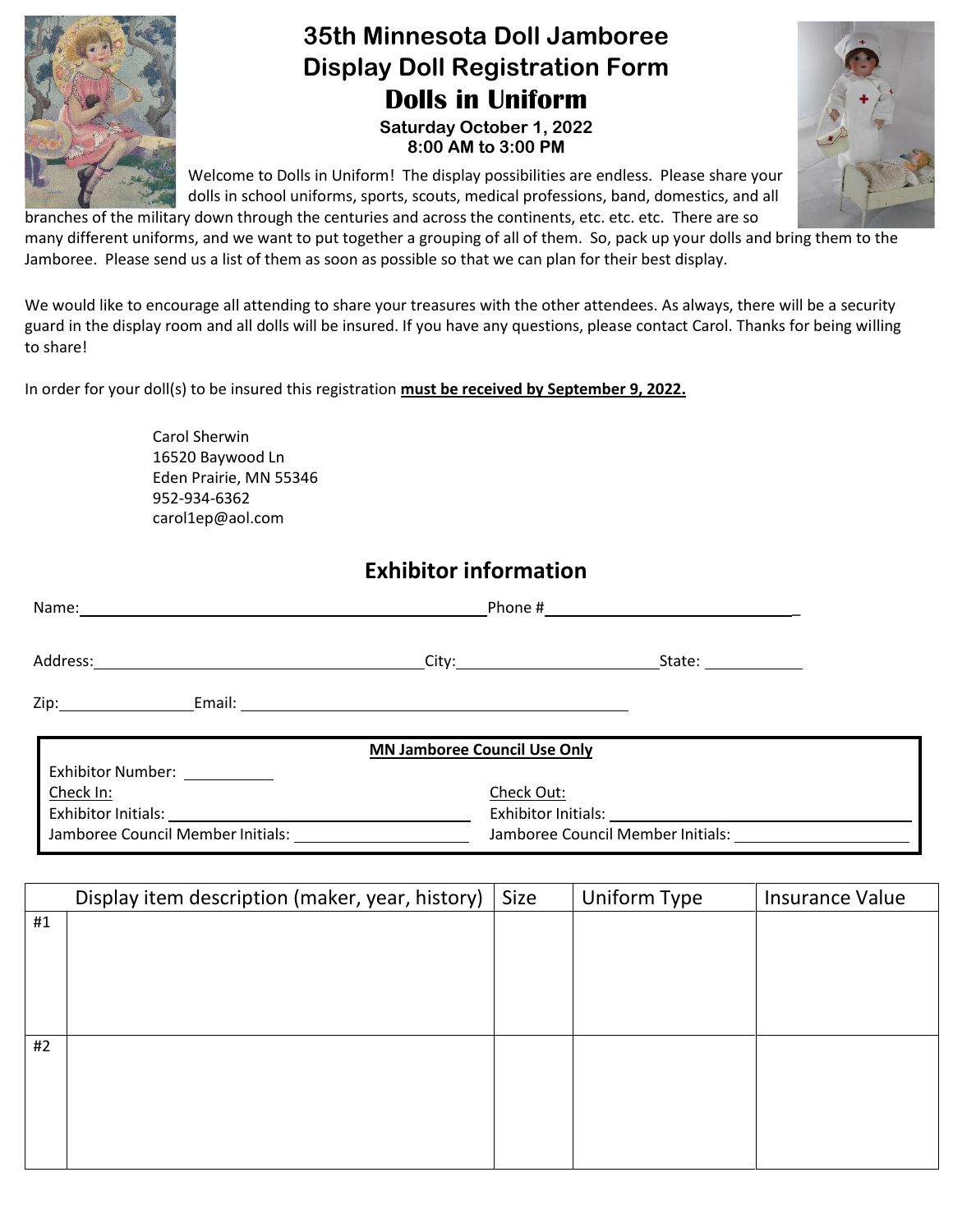

## **35th Minnesota Doll Jamboree Display Doll Registration Form Dolls in Uniform**

**Saturday October 1, 2022 8:00 AM to 3:00 PM**



Welcome to Dolls in Uniform! The display possibilities are endless. Please share your dolls in school uniforms, sports, scouts, medical professions, band, domestics, and all

branches of the military down through the centuries and across the continents, etc. etc. etc. There are so many different uniforms, and we want to put together a grouping of all of them. So, pack up your dolls and bring them to the Jamboree. Please send us a list of them as soon as possible so that we can plan for their best display.

We would like to encourage all attending to share your treasures with the other attendees. As always, there will be a security guard in the display room and all dolls will be insured. If you have any questions, please contact Carol. Thanks for being willing to share!

In order for your doll(s) to be insured this registration **must be received by September 9, 2022.**

Carol Sherwin 16520 Baywood Ln Eden Prairie, MN 55346 952-934-6362 [carol1ep@aol.com](mailto:carol1ep@aol.com)

## **Exhibitor information**

| Name:                                                            |                                     |                        |  |  |
|------------------------------------------------------------------|-------------------------------------|------------------------|--|--|
| Address:<br><u> 1980 - Johann Barn, fransk politik (d. 1980)</u> | City:_________________________      | State: <u>________</u> |  |  |
| Zip:__________________                                           |                                     |                        |  |  |
| Exhibitor Number: ___________                                    | <b>MN Jamboree Council Use Only</b> |                        |  |  |

| <u>Check In:</u>                  | Check Out:                        |
|-----------------------------------|-----------------------------------|
| Exhibitor Initials:               | Exhibitor Initials:               |
| Jamboree Council Member Initials: | Jamboree Council Member Initials: |

|    | Display item description (maker, year, history) | Size | Uniform Type | <b>Insurance Value</b> |
|----|-------------------------------------------------|------|--------------|------------------------|
| #1 |                                                 |      |              |                        |
|    |                                                 |      |              |                        |
|    |                                                 |      |              |                        |
|    |                                                 |      |              |                        |
|    |                                                 |      |              |                        |
| #2 |                                                 |      |              |                        |
|    |                                                 |      |              |                        |
|    |                                                 |      |              |                        |
|    |                                                 |      |              |                        |
|    |                                                 |      |              |                        |